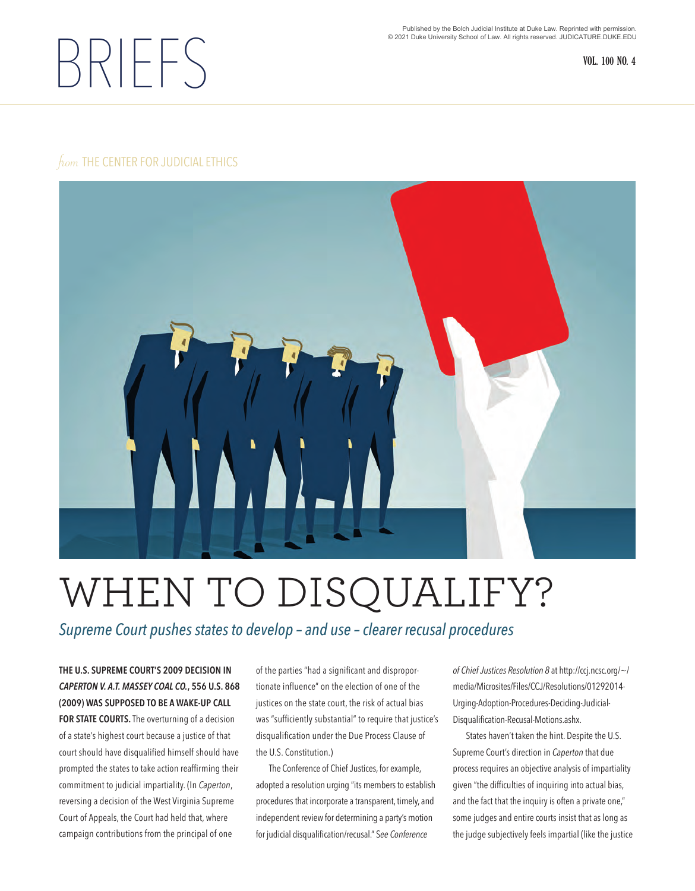## **6 COLLECTION** COLLECTION CONTINUES IN THE SECOND COLLECTION CONTINUES IN THE SECOND OF THE SECOND COLLECTION CONTINUES IN THE SECOND OF THE SECOND COLLECTION CONTINUES IN THE SECOND OF THE SECOND COLLECTION CONTINUES IN T BRIEFS

 $f_{\text{tom}}$  THE CENTER FOR JUDICIAL ETHICS



## WHEN TO DISQUALIFY?

*Supreme Court pushes states to develop – and use – clearer recusal procedures* 

**THE U.S. SUPREME COURT'S 2009 DECISION IN**  *CAPERTON V. A.T. MASSEY COAL CO.***, 556 U.S. 868 (2009) WAS SUPPOSED TO BE A WAKE-UP CALL FOR STATE COURTS.** The overturning of a decision of a state's highest court because a justice of that court should have disqualified himself should have prompted the states to take action reaffirming their commitment to judicial impartiality. (In *Caperton*, reversing a decision of the West Virginia Supreme Court of Appeals, the Court had held that, where campaign contributions from the principal of one

of the parties "had a significant and disproportionate influence" on the election of one of the justices on the state court, the risk of actual bias was "sufficiently substantial" to require that justice's disqualification under the Due Process Clause of the U.S. Constitution.)

The Conference of Chief Justices, for example, adopted a resolution urging "its members to establish procedures that incorporate a transparent, timely, and independent review for determining a party's motion for judicial disqualification/recusal." S*ee Conference* 

*of Chief Justices Resolution 8* at http://ccj.ncsc.org/~/ media/Microsites/Files/CCJ/Resolutions/01292014- Urging-Adoption-Procedures-Deciding-Judicial-Disqualification-Recusal-Motions.ashx.

States haven't taken the hint. Despite the U.S. Supreme Court's direction in *Caperton* that due process requires an objective analysis of impartiality given "the difficulties of inquiring into actual bias, and the fact that the inquiry is often a private one," some judges and entire courts insist that as long as the judge subjectively feels impartial (like the justice